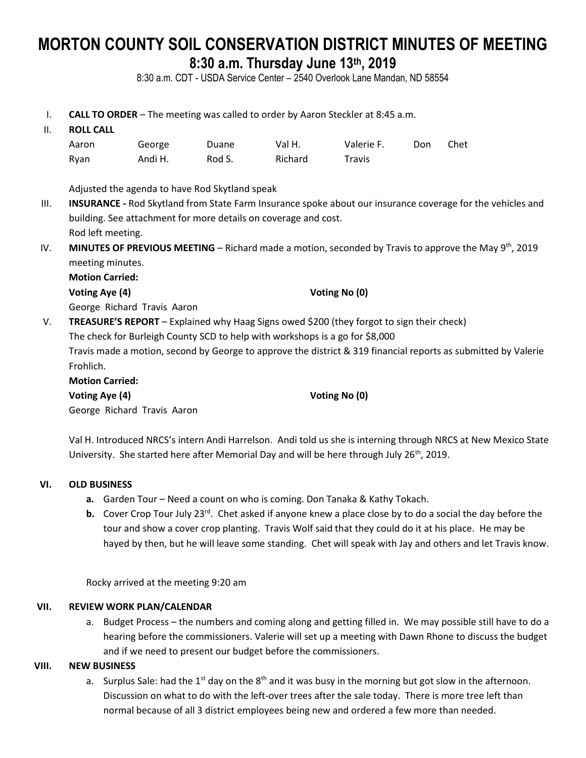# **MORTON COUNTY SOIL CONSERVATION DISTRICT MINUTES OF MEETING 8:30 a.m. Thursday June 13th , 2019**

8:30 a.m. CDT - USDA Service Center – 2540 Overlook Lane Mandan, ND 58554

- I. **CALL TO ORDER** The meeting was called to order by Aaron Steckler at 8:45 a.m.
- II. **ROLL CALL**

| Aaron | George  | Duane  | Val H.  | Valerie F.    | Don | Chet |
|-------|---------|--------|---------|---------------|-----|------|
| Rvan  | Andi H. | Rod S. | Richard | <b>Travis</b> |     |      |

Adjusted the agenda to have Rod Skytland speak

- III. **INSURANCE -** Rod Skytland from State Farm Insurance spoke about our insurance coverage for the vehicles and building. See attachment for more details on coverage and cost. Rod left meeting.
- IV. MINUTES OF PREVIOUS MEETING Richard made a motion, seconded by Travis to approve the May 9<sup>th</sup>, 2019 meeting minutes.

**Motion Carried:**

**Voting Aye (4) Voting No (0)**

George Richard Travis Aaron

V. **TREASURE'S REPORT** – Explained why Haag Signs owed \$200 (they forgot to sign their check) The check for Burleigh County SCD to help with workshops is a go for \$8,000 Travis made a motion, second by George to approve the district & 319 financial reports as submitted by Valerie Frohlich. **Motion Carried:**

**Voting Aye (4) Voting No (0)**

George Richard Travis Aaron

Val H. Introduced NRCS's intern Andi Harrelson. Andi told us she is interning through NRCS at New Mexico State University. She started here after Memorial Day and will be here through July 26<sup>th</sup>, 2019.

# **VI. OLD BUSINESS**

- **a.** Garden Tour Need a count on who is coming. Don Tanaka & Kathy Tokach.
- **b.** Cover Crop Tour July 23<sup>rd</sup>. Chet asked if anyone knew a place close by to do a social the day before the tour and show a cover crop planting. Travis Wolf said that they could do it at his place. He may be hayed by then, but he will leave some standing. Chet will speak with Jay and others and let Travis know.

Rocky arrived at the meeting 9:20 am

# **VII. REVIEW WORK PLAN/CALENDAR**

a. Budget Process – the numbers and coming along and getting filled in. We may possible still have to do a hearing before the commissioners. Valerie will set up a meeting with Dawn Rhone to discuss the budget and if we need to present our budget before the commissioners.

# **VIII. NEW BUSINESS**

a. Surplus Sale: had the 1<sup>st</sup> day on the 8<sup>th</sup> and it was busy in the morning but got slow in the afternoon. Discussion on what to do with the left-over trees after the sale today. There is more tree left than normal because of all 3 district employees being new and ordered a few more than needed.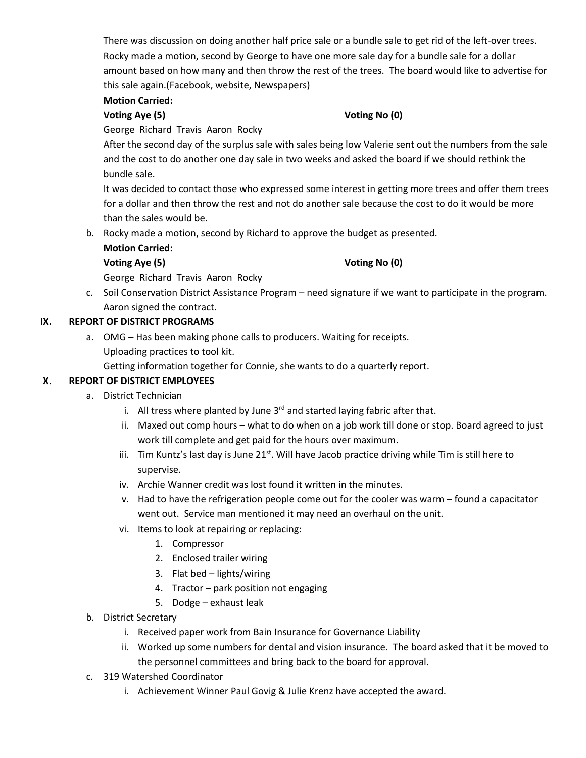There was discussion on doing another half price sale or a bundle sale to get rid of the left-over trees. Rocky made a motion, second by George to have one more sale day for a bundle sale for a dollar amount based on how many and then throw the rest of the trees. The board would like to advertise for this sale again.(Facebook, website, Newspapers)

# **Motion Carried:**

#### **Voting Aye (5) Voting No (0)**

George Richard Travis Aaron Rocky

After the second day of the surplus sale with sales being low Valerie sent out the numbers from the sale and the cost to do another one day sale in two weeks and asked the board if we should rethink the bundle sale.

It was decided to contact those who expressed some interest in getting more trees and offer them trees for a dollar and then throw the rest and not do another sale because the cost to do it would be more than the sales would be.

b. Rocky made a motion, second by Richard to approve the budget as presented.

# **Motion Carried:**

# **Voting Aye (5) Voting No (0)**

George Richard Travis Aaron Rocky

c. Soil Conservation District Assistance Program – need signature if we want to participate in the program. Aaron signed the contract.

# **IX. REPORT OF DISTRICT PROGRAMS**

a. OMG – Has been making phone calls to producers. Waiting for receipts. Uploading practices to tool kit.

Getting information together for Connie, she wants to do a quarterly report.

# **X. REPORT OF DISTRICT EMPLOYEES**

- a. District Technician
	- i. All tress where planted by June  $3<sup>rd</sup>$  and started laying fabric after that.
	- ii. Maxed out comp hours what to do when on a job work till done or stop. Board agreed to just work till complete and get paid for the hours over maximum.
	- iii. Tim Kuntz's last day is June  $21^{st}$ . Will have Jacob practice driving while Tim is still here to supervise.
	- iv. Archie Wanner credit was lost found it written in the minutes.
	- v. Had to have the refrigeration people come out for the cooler was warm found a capacitator went out. Service man mentioned it may need an overhaul on the unit.
	- vi. Items to look at repairing or replacing:
		- 1. Compressor
		- 2. Enclosed trailer wiring
		- 3. Flat bed lights/wiring
		- 4. Tractor park position not engaging
		- 5. Dodge exhaust leak
- b. District Secretary
	- i. Received paper work from Bain Insurance for Governance Liability
	- ii. Worked up some numbers for dental and vision insurance. The board asked that it be moved to the personnel committees and bring back to the board for approval.
- c. 319 Watershed Coordinator
	- i. Achievement Winner Paul Govig & Julie Krenz have accepted the award.